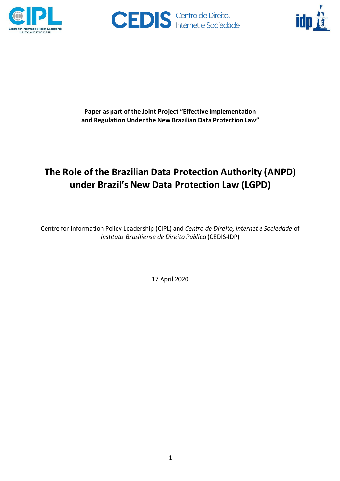





**Paper as part of the Joint Project "Effective Implementation and Regulation Under the New Brazilian Data Protection Law"**

# **The Role of the Brazilian Data Protection Authority (ANPD) under Brazil's New Data Protection Law (LGPD)**

Centre for Information Policy Leadership (CIPL) and *Centro de Direito, Internet e Sociedade* of *Instituto Brasiliense de Direito Públi*co (CEDIS-IDP)

17 April 2020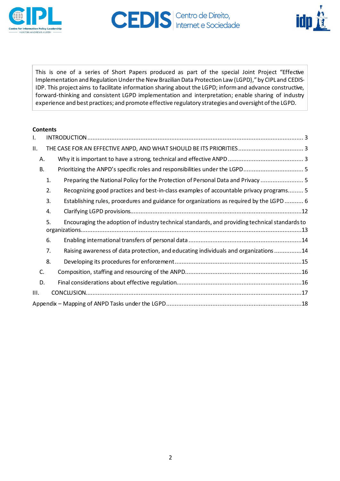



This is one of a series of Short Papers produced as part of the special Joint Project "Effective Implementation and Regulation Under the New Brazilian Data Protection Law (LGPD)," by CIPL and CEDIS-IDP. This project aims to facilitate information sharing about the LGPD; informand advance constructive, forward-thinking and consistent LGPD implementation and interpretation; enable sharing of industry experience and best practices; and promote effective regulatory strategies and oversight ofthe LGPD.

#### **Contents**

| Ι.   |           |                                                                                                |  |  |
|------|-----------|------------------------------------------------------------------------------------------------|--|--|
| ΙΙ.  |           |                                                                                                |  |  |
|      | Α.        |                                                                                                |  |  |
|      | <b>B.</b> | Prioritizing the ANPD's specific roles and responsibilities under the LGPD 5                   |  |  |
|      | 1.        | Preparing the National Policy for the Protection of Personal Data and Privacy  5               |  |  |
|      | 2.        | Recognizing good practices and best-in-class examples of accountable privacy programs 5        |  |  |
|      | 3.        | Establishing rules, procedures and guidance for organizations as required by the LGPD 6        |  |  |
|      | 4.        |                                                                                                |  |  |
|      | 5.        | Encouraging the adoption of industry technical standards, and providing technical standards to |  |  |
|      | 6.        |                                                                                                |  |  |
|      | 7.        | Raising awareness of data protection, and educating individuals and organizations 14           |  |  |
|      | 8.        |                                                                                                |  |  |
|      | C.        |                                                                                                |  |  |
|      | D.        |                                                                                                |  |  |
| III. |           |                                                                                                |  |  |
|      |           |                                                                                                |  |  |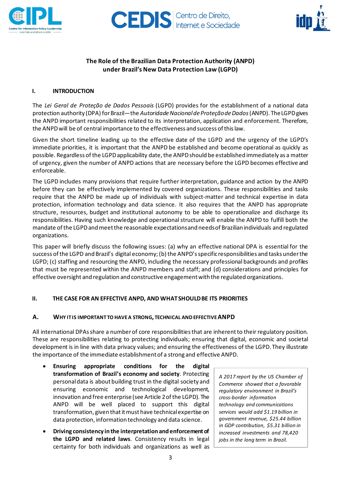



# **The Role of the Brazilian Data Protection Authority (ANPD) under Brazil's New Data Protection Law (LGPD)**

#### <span id="page-2-0"></span>**I. INTRODUCTION**

The *Lei Geral de Proteção de Dados Pessoais* (LGPD) provides for the establishment of a national data protection authority (DPA) forBrazil—the *AutoridadeNacionaldeProteçãodeDados*(ANPD). TheLGPDgives the ANPD important responsibilities related to its interpretation, application and enforcement. Therefore, the ANPDwill be of central importance to the effectiveness and success ofthislaw.

Given the short timeline leading up to the effective date of the LGPD and the urgency of the LGPD's immediate priorities, it is important that the ANPD be established and become operational as quickly as possible. Regardless of the LGPD applicability date, the ANPD should be established immediately as a matter of urgency, given the number of ANPD actions that are necessary before the LGPD becomes effective and enforceable.

The LGPD includes many provisions that require further interpretation, guidance and action by the ANPD before they can be effectively implemented by covered organizations. These responsibilities and tasks require that the ANPD be made up of individuals with subject-matter and technical expertise in data protection, information technology and data science. It also requires that the ANPD has appropriate structure, resources, budget and institutional autonomy to be able to operationalize and discharge its responsibilities. Having such knowledge and operational structure will enable the ANPD to fulfill both the mandate ofthe LGPDandmeetthe reasonable expectationsand needsof Brazilian individuals and regulated organizations.

This paper will briefly discuss the following issues: (a) why an effective national DPA is essential for the success of the LGPD and Brazil's digital economy; (b) the ANPD's specific responsibilities and tasks under the LGPD; (c) staffing and resourcing the ANPD, including the necessary professional backgrounds and profiles that must be represented within the ANPD members and staff; and (d) considerations and principles for effective oversight and regulation and constructive engagementwith the regulated organizations.

#### <span id="page-2-1"></span>**II. THE CASE FOR AN EFFECTIVE ANPD, AND WHATSHOULDBE ITS PRIORITIES**

#### <span id="page-2-2"></span>**A. WHY ITIS IMPORTANT TO HAVEA STRONG, TECHNICAL ANDEFFECTIVEANPD**

All international DPAsshare a numberof core responsibilitiesthat are inherentto their regulatory position. These are responsibilities relating to protecting individuals; ensuring that digital, economic and societal development is in line with data privacy values; and ensuring the effectiveness of the LGPD. They illustrate the importance of the immediate establishmentof a strong and effective ANPD.

- **Ensuring appropriate conditions for the digital transformation of Brazil's economy and society**. Protecting personal data is about building trust in the digital society and ensuring economic and technological development, innovation and free enterprise(see Article 2ofthe LGPD). The ANPD will be well placed to support this digital transformation, given that it must have technical expertise on data protection, information technology and data science.
- **Driving consistency inthe interpretation andenforcementof the LGPD and related laws**. Consistency results in legal certainty for both individuals and organizations as well as

*A 2017 report by the US Chamber of Commerce showed that a favorable regulatory environment in Brazil's cross-border information technology and communications services would add \$1.19 billion in government revenue, \$25.44 billion in GDP contribution, \$5.31 billion in increased investments and 78,420 jobs in the long term in Brazil.*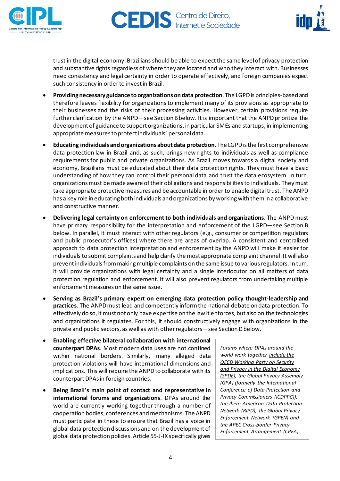



trust in the digital economy. Brazilians should be able to expectthe same levelof privacy protection and substantive rights regardless of where they are located and who they interact with. Businesses need consistency and legal certainty in order to operate effectively, and foreign companies expect such consistency in orderto investin Brazil.

- **Providingnecessary guidance toorganizations ondata protection**. The LGPDis principles-based and therefore leaves flexibility for organizations to implement many of its provisions as appropriate to their businesses and the risks of their processing activities. However, certain provisions require further clarification by the ANPD—see Section B below. It is important that the ANPD prioritize the development of guidance to support organizations, in particular SMEs and startups, in implementing appropriate measures to protect individuals' personal data.
- **Educating individuals andorganizations aboutdata protection**. The LGPDisthe first comprehensive data protection law in Brazil and, as such, brings new rights to individuals as well as compliance requirements for public and private organizations. As Brazil moves towards a digital society and economy, Brazilians must be educated about their data protection rights. They must have a basic understanding of how they can control their personal data and trust the data ecosystem. In turn, organizationsmust be made aware oftheir obligations and responsibilitiesto individuals. Theymust take appropriate protective measures and be accountable in order to enable digital trust. The ANPD has a key role in educating both individuals and organizations by working with them in a collaborative and constructive manner.
- **Delivering legal certainty on enforcement to both individuals and organizations**. The ANPD must have primary responsibility for the interpretation and enforcement of the LGPD—see Section B below. In parallel, it must interact with other regulators (e.g., consumer or competition regulators and public prosecutor's offices) where there are areas of overlap. A consistent and centralized approach to data protection interpretation and enforcement by the ANPD will make it easier for individuals to submit complaints and help clarify the most appropriate complaint channel. It will also prevent individuals from making multiple complaints on the same issue to various regulators. In tum, it will provide organizations with legal certainty and a single interlocutor on all matters of data protection regulation and enforcement. It will also prevent regulators from undertaking multiple enforcement measures on the same issue.
- **Serving as Brazil's primary expert on emerging data protection policy thought-leadership and practices**. The ANPDmust lead and competently informthe national debate on data protection. To effectively do so, it must notonly have expertise on the law it enforces, but also on the technologies and organizations it regulates. For this, it should constructively engage with organizations in the private and public sectors, as well as with other regulators-see Section D below.
- **Enabling effective bilateral collaboration with international counterpart DPAs**. Most modern data uses are not confined within national borders. Similarly, many alleged data protection violations will have international dimensions and implications. This will require the ANPD to collaborate with its counterpart DPAs in foreign countries.
- **Being Brazil's main point of contact and representative in international forums and organizations**. DPAs around the world are currently working together through a number of cooperation bodies, conferences andmechanisms. The ANPD must participate in these to ensure that Brazil has a voice in global data protection discussions and on the development of global data protection policies. Article 55-J-IX specifically gives

*Forums where DPAs around the world work together include the OECD Working Party on Security and Privacy in the Digital Economy (SPDE), the Global Privacy Assembly (GPA) (formerly the International Conference of Data Protection and Privacy Commissioners (ICDPPC)), the Ibero-American Data Protection Network (RIPD), the Global Privacy Enforcement Network (GPEN) and the APEC Cross-border Privacy Enforcement Arrangement (CPEA).*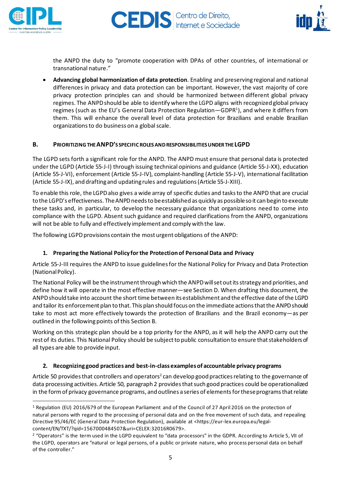



the ANPD the duty to "promote cooperation with DPAs of other countries, of international or transnational nature."

• **Advancing global harmonization of data protection**. Enabling and preserving regional and national differences in privacy and data protection can be important. However, the vast majority of core privacy protection principles can and should be harmonized between different global privacy regimes. The ANPDshould be able to identify where the LGPD aligns with recognized global privacy regimes (such as the EU's General Data Protection Regulation—GDPR<sup>1</sup>), and where it differs from them. This will enhance the overall level of data protection for Brazilians and enable Brazilian organizations to do business on a global scale.

#### <span id="page-4-0"></span>**B. PRIORITIZINGTHEANPD'S SPECIFIC ROLESANDRESPONSIBILITIESUNDERTHE LGPD**

The LGPD sets forth a significant role for the ANPD. The ANPD must ensure that personal data is protected under the LGPD (Article 55-J-I) through issuing technical opinions and guidance (Article 55-J-XX), education (Article 55-J-VI), enforcement (Article 55-J-IV), complaint-handling (Article 55-J-V), international facilitation (Article 55-J-IX), and draftingand updating rules and regulations(Article 55-J-XIII).

To enable this role, the LGPDalso gives a wide array of specific duties and tasksto the ANPD that are crucial to the LGPD's effectiveness. The ANPD needs to be established as quickly as possible so it can begin to execute these tasks and, in particular, to develop the necessary guidance that organizations need to come into compliance with the LGPD. Absent such guidance and required clarifications from the ANPD, organizations will not be able to fully and effectively implement and comply with the law.

<span id="page-4-1"></span>The following LGPD provisions contain the most urgent obligations of the ANPD:

# **1. Preparing the National Policy for the Protection of Personal Data and Privacy**

Article 55-J-III requires the ANPD to issue guidelinesfor the National Policy for Privacy and Data Protection (NationalPolicy).

The National Policy will be the instrument through which the ANPD will set out its strategy and priorities, and define how it will operate in the most effective manner—see Section D. When drafting this document, the ANPDshould take into account the short time between its establishment and the effective date ofthe LGPD and tailor its enforcement plan to that. This plan should focus on the immediate actions that the ANPD should take to most act more effectively towards the protection of Brazilians and the Brazil economy—as per outlined in the following points of this Section B.

Working on this strategic plan should be a top priority for the ANPD, as it will help the ANPD carry out the rest of its duties. This National Policy should be subject to public consultation to ensure that stakeholders of all types are able to provide input.

#### <span id="page-4-2"></span>**2. Recognizing good practices and best-in-class examples of accountable privacy programs**

Article 50 provides that controllers and operators<sup>2</sup> can develop good practices relating to the governance of data processing activities.Article 50, paragraph 2 providesthatsuch good practices could be operationalized in the form of privacy governance programs, and outlines a series of elements for these programs that relate

<sup>1</sup> Regulation (EU) 2016/679 of the European Parliament and of the Council of 27 April 2016 on the protection of natural persons with regard to the processing of personal data and on the free movement of such data, and repealing Directive 95/46/EC (General Data Protection Regulation), available at <https://eur-lex.europa.eu/legalcontent/EN/TXT/?qid=1567000484507&uri=CELEX:32016R0679>.

<sup>&</sup>lt;sup>2</sup> "Operators" is the term used in the LGPD equivalent to "data processors" in the GDPR. According to Article 5, VII of the LGPD, operators are "natural or legal persons, of a public or private nature, who process personal data on behalf of the controller."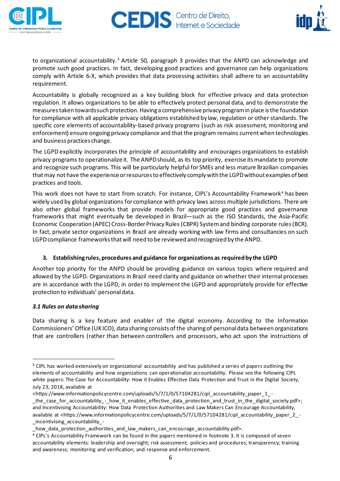



to organizational accountability.<sup>3</sup> Article 50, paragraph 3 provides that the ANPD can acknowledge and promote such good practices. In fact, developing good practices and governance can help organizations comply with Article 6-X, which provides that data processing activities shall adhere to an accountability requirement.

Accountability is globally recognized as a key building block for effective privacy and data protection regulation. It allows organizations to be able to effectively protect personal data, and to demonstrate the measurestaken towardssuch protection. Having a comprehensiveprivacy programin place isthe foundation for compliance with all applicable privacy obligations established by law, regulation or other standards. The specific core elements of accountability-based privacy programs (such as risk assessment, monitoring and enforcement) ensure ongoing privacy compliance and that the program remains currentwhen technologies and business practices change.

The LGPD explicitly incorporates the principle of accountability and encourages organizations to establish privacy programs to operationalize it. The ANPD should, as its top priority, exercise its mandate to promote and recognize such programs. This will be particularly helpful for SMEs and less mature Brazilian companies that may not have the experience or resources to effectively comply with the LGPD without examples of best practices and tools.

This work does not have to start from scratch. For instance, CIPL's Accountability Framework <sup>4</sup> has been widely used by global organizations for compliance with privacy laws across multiple jurisdictions. There are also other global frameworks that provide models for appropriate good practices and governance frameworks that might eventually be developed in Brazil—such as the ISO Standards, the Asia-Pacific Economic Cooperation (APEC) Cross-Border Privacy Rules (CBPR) System and binding corporate rules (BCR). In fact, private sector organizations in Brazil are already working with law firms and consultancies on such LGPD compliance frameworks that will need to be reviewed and recognized by the ANPD.

# <span id="page-5-0"></span>**3. Establishing rules, procedures and guidance for organizations as required by the LGPD**

Another top priority for the ANPD should be providing guidance on various topics where required and allowed by the LGPD. Organizations in Brazil need clarity and guidance on whether their internal processes are in accordance with the LGPD, in order to implement the LGPD and appropriately provide for effective protection to individuals' personaldata.

#### *3.1 Rules on data sharing*

Data sharing is a key feature and enabler of the digital economy. According to the Information Commissioners' Office (UK ICO), data sharing consists ofthe sharingof personaldata between organizations that are controllers (rather than between controllers and processors, who act upon the instructions of

<sup>&</sup>lt;sup>3</sup> CIPL has worked extensively on organizational accountability and has published a series of papers outlining the elements of accountability and how organizations can operationalize accountability. Please see the following CIPL white papers: The Case for Accountability: How it Enables Effective Data Protection and Trust in the Digital Society, July 23, 2018, available at

<sup>&</sup>lt;https://www.informationpolicycentre.com/uploads/5/7/1/0/57104281/cipl\_accountability\_paper\_1\_ -

\_the\_case\_for\_accountability\_-\_how\_it\_enables\_effective\_data\_protection\_and\_trust\_in\_the\_digital\_society.pdf>; and Incentivising Accountability: How Data Protection Authorities and Law Makers Can Encourage Accountability, available at <https://www.informationpolicycentre.com/uploads/5/7/1/0/57104281/cipl\_accountability\_paper\_2\_ - \_incentivising\_accountability\_-

\_how\_data\_protection\_authorities\_and\_law\_makers\_can\_encourage\_accountability.pdf>.

<sup>4</sup> CIPL's Accountability Framework can be found in the papers mentioned in footnote 3. It is composed of seven accountability elements: leadership and oversight; risk assessment; policies and procedures; transparency; training and awareness; monitoring and verification; and response and enforcement.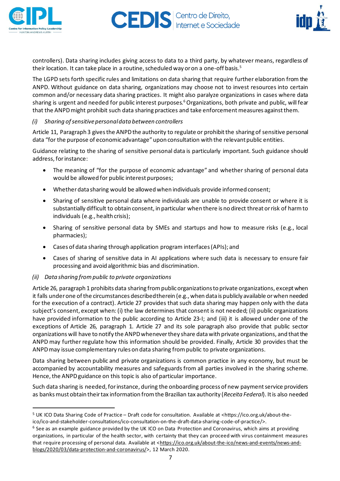



controllers). Data sharing includes giving access to data to a third party, by whatever means, regardless of their location. It can take place in a routine, scheduled way or on a one-off basis.<sup>5</sup>

The LGPD sets forth specific rules and limitations on data sharing that require further elaboration from the ANPD. Without guidance on data sharing, organizations may choose not to invest resources into certain common and/or necessary data sharing practices. It might also paralyze organizations in cases where data sharing is urgent and needed for public interest purposes.<sup>6</sup> Organizations, both private and public, will fear that the ANPDmight prohibit such data sharing practices and take enforcementmeasures againstthem.

#### *(i) Sharing ofsensitivepersonaldata between controllers*

Article 11, Paragraph 3 gives the ANPD the authority to regulate or prohibit the sharing of sensitive personal data "for the purpose of economic advantage" upon consultation with the relevant public entities.

Guidance relating to the sharing of sensitive personal data is particularly important. Such guidance should address, forinstance:

- The meaning of "for the purpose of economic advantage" and whether sharing of personal data would be allowed for public interest purposes;
- Whether data sharing would be allowed when individuals provide informed consent;
- Sharing of sensitive personal data where individuals are unable to provide consent or where it is substantially difficult to obtain consent, in particular when there is no direct threat orrisk of harmto individuals (e.g., health crisis);
- Sharing of sensitive personal data by SMEs and startups and how to measure risks (e.g., local pharmacies);
- Cases of data sharing through application program interfaces(APIs); and
- Cases of sharing of sensitive data in AI applications where such data is necessary to ensure fair processing and avoid algorithmic bias and discrimination.

#### *(ii) Data sharing frompublic to private organizations*

Article 26, paragraph 1 prohibits data sharing from public organizations to private organizations, except when it falls underone ofthe circumstances describedtherein (e.g., when data is publicly available orwhen needed for the execution of a contract). Article 27 provides that such data sharing may happen only with the data subject's consent, except when: (i) the law determines that consent is not needed; (ii) public organizations have provided information to the public according to Article 23-I; and (iii) it is allowed under one of the exceptions of Article 26, paragraph 1. Article 27 and its sole paragraph also provide that public sector organizations will have to notify the ANPDwheneverthey share datawith private organizations, and thatthe ANPD may further regulate how this information should be provided. Finally, Article 30 provides that the ANPDmay issue complementary rules on data sharing frompublic to private organizations.

Data sharing between public and private organizations is common practice in any economy, but must be accompanied by accountability measures and safeguards from all parties involved in the sharing scheme. Hence, the ANPD guidance on this topic is also of particular importance.

Such data sharing is needed, for instance, during the onboarding process of new payment service providers as banksmust obtain theirtax information fromthe Brazilian tax authority (*Receita Federal*). Itis also needed

<sup>5</sup> UK ICO Data Sharing Code of Practice – Draft code for consultation. Available at <https://ico.org.uk/about-theico/ico-and-stakeholder-consultations/ico-consultation-on-the-draft-data-sharing-code-of-practice/>.

<sup>&</sup>lt;sup>6</sup> See as an example guidance provided by the UK ICO on Data Protection and Coronavirus, which aims at providing organizations, in particular of the health sector, with certainty that they can proceed with virus containment measures that require processing of personal data. Available at [<https://ico.org.uk/about-the-ico/news-and-events/news-and](https://ico.org.uk/about-the-ico/news-and-events/news-and-blogs/2020/03/data-protection-and-coronavirus/)[blogs/2020/03/data-protection-and-coronavirus/>](https://ico.org.uk/about-the-ico/news-and-events/news-and-blogs/2020/03/data-protection-and-coronavirus/), 12 March 2020.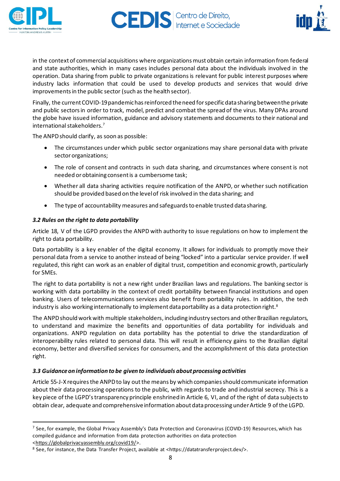



in the context of commercial acquisitions where organizations must obtain certain information from federal and state authorities, which in many cases includes personal data about the individuals involved in the operation. Data sharing from public to private organizationsis relevant for public interest purposes where industry lacks information that could be used to develop products and services that would drive improvements in the public sector (such as the health sector).

Finally, the current COVID-19 pandemic has reinforced the need for specific data sharing betweenthe private and public sectors in order to track, model, predict and combat the spread of the virus. Many DPAs around the globe have issued information, guidance and advisory statements and documents to their national and international stakeholders.<sup>7</sup>

The ANPDshould clarify, as soon as possible:

- The circumstances under which public sector organizations may share personal data with private sector organizations;
- The role of consent and contracts in such data sharing, and circumstances where consent is not needed orobtaining consentis a cumbersome task;
- Whether all data sharing activities require notification of the ANPD, or whether such notification should be provided based on the levelof risk involved in the data sharing; and
- The type of accountability measures and safeguards to enable trusted data sharing.

# *3.2 Rules on the right to data portability*

Article 18, V of the LGPD provides the ANPD with authority to issue regulations on how to implement the right to data portability.

Data portability is a key enabler of the digital economy. It allows for individuals to promptly move their personal data from a service to another instead of being "locked" into a particular service provider. If well regulated, this right can work as an enabler of digital trust, competition and economic growth, particularly for SMEs.

The right to data portability is not a new right under Brazilian laws and regulations. The banking sector is working with data portability in the context of credit portability between financial institutions and open banking. Users of telecommunications services also benefit from portability rules. In addition, the tech industry is also working internationally to implement data portability as a data protection right. $^8$ 

The ANPD should work with multiple stakeholders, including industry sectors and other Brazilian regulators, to understand and maximize the benefits and opportunities of data portability for individuals and organizations. ANPD regulation on data portability has the potential to drive the standardization of interoperability rules related to personal data. This will result in efficiency gains to the Brazilian digital economy, better and diversified services for consumers, and the accomplishment of this data protection right.

#### *3.3 Guidanceon information to be given to individuals aboutprocessing activities*

Article 55-J-X requires the ANPD to lay out the means by which companies should communicate information about their data processing operations to the public, with regards to trade and industrial secrecy. This is a key piece ofthe LGPD'stransparency principle enshrined in Article 6, VI, and of the right of data subjectsto obtain clear, adequate and comprehensiveinformation aboutdataprocessing underArticle 9 ofthe LGPD.

[<https://globalprivacyassembly.org/covid19/>](https://globalprivacyassembly.org/covid19/).

<sup>&</sup>lt;sup>7</sup> See, for example, the Global Privacy Assembly's Data Protection and Coronavirus (COVID-19) Resources, which has compiled guidance and information from data protection authorities on data protection

<sup>&</sup>lt;sup>8</sup> See, for instance, the Data Transfer Project, available at <https://datatransferproject.dev/>.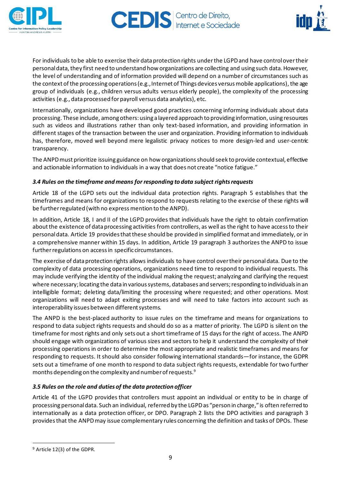



For individuals to be able to exercise their data protection rights under the LGPD and have control over their personal data, they first need to understand how organizations are collecting and using such data. However, the level of understanding and of information provided will depend on a number of circumstances such as the context of the processing operations (e.g., Internet of Things devices versus mobile applications), the age group of individuals (e.g., children versus adults versus elderly people), the complexity of the processing activities (e.g., data processed for payroll versus data analytics), etc.

Internationally, organizations have developed good practices concerning informing individuals about data processing. These include, among others: using a layered approach to providing information, using resources such as videos and illustrations rather than only text-based information, and providing information in different stages of the transaction between the user and organization. Providing information to individuals has, therefore, moved well beyond mere legalistic privacy notices to more design-led and user-centric transparency.

The ANPDmust prioritize issuing guidance on how organizationsshould seek to provide contextual, effective and actionable information to individuals in a way that does not create "notice fatigue."

# *3.4 Rules on the timeframe and means for responding to data subject rightsrequests*

Article 18 of the LGPD sets out the individual data protection rights. Paragraph 5 establishes that the timeframes and means for organizations to respond to requests relating to the exercise of these rights will be further regulated (with no express mention to the ANPD).

In addition, Article 18, I and II of the LGPD provides that individuals have the right to obtain confirmation about the existence of data processing activities from controllers, as well as the right to have access to their personaldata. Article 19 providesthatthese should be provided in simplified format and immediately, or in a comprehensive manner within 15 days. In addition, Article 19 paragraph 3 authorizes the ANPD to issue further regulations on access in specific circumstances.

The exercise of data protection rights allows individuals to have control over their personal data. Due to the complexity of data processing operations, organizations need time to respond to individual requests. This may include verifying the identity of the individual making the request; analyzing and clarifying the request where necessary; locating the data in various systems, databases and servers; responding to individuals in an intelligible format; deleting data/limiting the processing where requested; and other operations. Most organizations will need to adapt exiting processes and will need to take factors into account such as interoperability issues between different systems.

The ANPD is the best-placed authority to issue rules on the timeframe and means for organizations to respond to data subject rights requests and should do so as a matter of priority. The LGPD is silent on the timeframe for most rights and only sets out a short timeframe of 15 days for the right of access. The ANPD should engage with organizations of various sizes and sectors to help it understand the complexity of their processing operations in order to determine the most appropriate and realistic timeframes and means for responding to requests. It should also consider following international standards—for instance, the GDPR sets out a timeframe of one month to respond to data subject rights requests, extendable for two further months depending on the complexity and number of requests. $^{\rm 9}$ 

# *3.5 Rules on the role and duties of the data protection officer*

Article 41 of the LGPD provides that controllers must appoint an individual or entity to be in charge of processing personaldata. Such an individual, referred by the LGPDas "person in charge," is often referred to internationally as a data protection officer, or DPO. Paragraph 2 lists the DPO activities and paragraph 3 providesthat the ANPDmay issue complementary rules concerning the definition and tasks of DPOs. These

<sup>9</sup> Article 12(3) of the GDPR.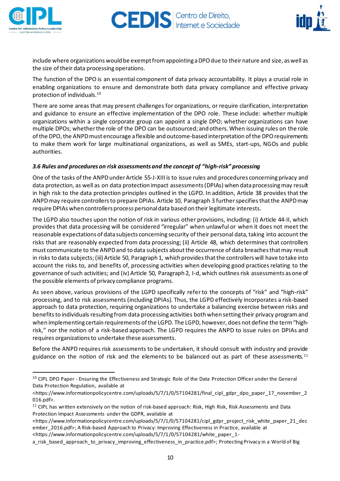



include where organizations would be exempt from appointing a DPO due to their nature and size, as well as the size of their data processing operations.

The function of the DPO is an essential component of data privacy accountability. It plays a crucial role in enabling organizations to ensure and demonstrate both data privacy compliance and effective privacy protection of individuals.<sup>10</sup>

There are some areas that may present challenges for organizations, or require clarification, interpretation and guidance to ensure an effective implementation of the DPO role. These include: whether multiple organizations within a single corporate group can appoint a single DPO; whether organizations can have multiple DPOs; whetherthe role of the DPO can be outsourced; and others.When issuing rules on the role of the DPO, the ANPD must encourage a flexible and outcome-based interpretation of the DPO requirements to make them work for large multinational organizations, as well as SMEs, start-ups, NGOs and public authorities.

# *3.6 Rules and procedures on risk assessments and the concept of "high-risk" processing*

One of the tasks ofthe ANPDunderArticle 55-J-XIII is to issue rules and procedures concerning privacy and data protection, as well as on data protection impact assessments(DPIAs) when dataprocessingmay result in high risk to the data protection principles outlined in the LGPD. In addition, Article 38 provides that the ANPDmay require controllersto prepare DPIAs. Article 10, Paragraph 3 furtherspecifiesthatthe ANPDmay require DPIAs when controllers process personal data based on their legitimate interests.

The LGPD also touches upon the notion of risk in various other provisions, including: (i) Article 44-II, which provides that data processing will be considered "irregular" when unlawful or when it does not meet the reasonable expectations of data subjects concerning security of their personal data, taking into account the risks that are reasonably expected from data processing; (ii) Article 48, which determines that controllers must communicate to the ANPD and to data subjects about the occurrence of data breaches that may result in risks to data subjects; (iii) Article 50, Paragraph 1, which provides that the controllers will have to take into account the risks to, and benefits of, processing activities when developing good practices relating to the governance ofsuch activities; and (iv) Article 50, Paragraph 2, I-d, which outlinesrisk assessments as one of the possible elements of privacy compliance programs.

As seen above, various provisions of the LGPD specifically refer to the concepts of "risk" and "high-risk" processing, and to risk assessments (including DPIAs). Thus, the LGPD effectively incorporates a risk-based approach to data protection, requiring organizations to undertake a balancing exercise between risks and benefits to individuals resulting from data processing activities both when setting their privacy program and when implementing certain requirements of the LGPD. The LGPD, however, does not define the term "highrisk," nor the notion of a risk-based approach. The LGPD requires the ANPD to issue rules on DPIAs and requires organizationsto undertake these assessments.

Before the ANPD requires risk assessments to be undertaken, it should consult with industry and provide guidance on the notion of risk and the elements to be balanced out as part of these assessments. $^{\rm 11}$ 

<sup>&</sup>lt;sup>10</sup> CIPL DPO Paper - Ensuring the Effectiveness and Strategic Role of the Data Protection Officer under the General Data Protection Regulation, available at

<sup>&</sup>lt;https://www.informationpolicycentre.com/uploads/5/7/1/0/57104281/final\_cipl\_gdpr\_dpo\_paper\_17\_november\_2 016.pdf>.

<sup>&</sup>lt;sup>11</sup> CIPL has written extensively on the notion of risk-based approach: Risk, High Risk, Risk Assessments and Data Protection Impact Assessments under the GDPR, available at

<sup>&</sup>lt;https://www.informationpolicycentre.com/uploads/5/7/1/0/57104281/cipl\_gdpr\_project\_risk\_white\_paper\_21\_dec ember\_2016.pdf>; A Risk-based Approach to Privacy: Improving Effectiveness in Practice, available at <https://www.informationpolicycentre.com/uploads/5/7/1/0/57104281/white\_paper\_1-

a\_risk\_based\_approach\_to\_privacy\_improving\_effectiveness\_in\_practice.pdf>; Protecting Privacy in a World of Big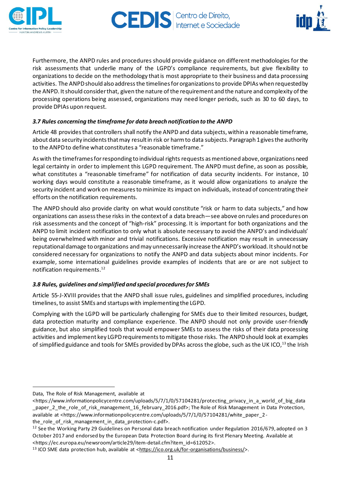



Furthermore, the ANPD rules and procedures should provide guidance on different methodologies for the risk assessments that underlie many of the LGPD's compliance requirements, but give flexibility to organizations to decide on the methodology thatis most appropriate to their business and data processing activities. The ANPD should also address the timelines for organizations to provide DPIAs when requested by the ANPD. It should consider that, given the nature of the requirement and the nature and complexity of the processing operations being assessed, organizations may need longer periods, such as 30 to 60 days, to provide DPIAs upon request.

# *3.7 Rules concerning the timeframe for data breach notification to the ANPD*

Article 48 providesthat controllers shall notify the ANPD and data subjects, within a reasonable timeframe, about data security incidents that may result in risk or harm to data subjects. Paragraph 1 gives the authority to the ANPDto define what constitutes a "reasonable timeframe."

Aswith the timeframesforresponding to individual rights requests asmentioned above,organizations need legal certainty in order to implement this LGPD requirement. The ANPD must define, as soon as possible, what constitutes a "reasonable timeframe" for notification of data security incidents. For instance, 10 working days would constitute a reasonable timeframe, as it would allow organizations to analyze the security incident and work on measures to minimize its impact on individuals, instead of concentrating their efforts on the notification requirements.

The ANPD should also provide clarity on what would constitute "risk or harm to data subjects," and how organizations can assessthese risks in the contextof a data breach—see above on rules and procedures on risk assessments and the concept of "high-risk" processing. It is important for both organizations and the ANPD to limit incident notification to only what is absolute necessary to avoid the ANPD's and individuals' being overwhelmed with minor and trivial notifications. Excessive notification may result in unnecessary reputational damage to organizations and may unnecessarily increase the ANPD's workload. It should not be considered necessary for organizations to notify the ANPD and data subjects about minor incidents. For example, some international guidelines provide examples of incidents that are or are not subject to notification requirements. 12

#### *3.8 Rules, guidelines and simplified and special proceduresfor SMEs*

Article 55-J-XVIII provides that the ANPD shall issue rules, guidelines and simplified procedures, including timelines, to assist SMEs and startups with implementing the LGPD.

Complying with the LGPD will be particularly challenging for SMEs due to their limited resources, budget, data protection maturity and compliance experience. The ANPD should not only provide user-friendly guidance, but also simplified tools that would empower SMEs to assess the risks of their data processing activities and implement key LGPD requirements to mitigate those risks. The ANPD should look at examples of simplified guidance and tools for SMEs provided by DPAs across the globe, such as the UK ICO, $^{\rm 13}$  the Irish

Data, The Role of Risk Management, available at

<sup>&</sup>lt;https://www.informationpolicycentre.com/uploads/5/7/1/0/57104281/protecting\_privacy\_in\_a\_world\_of\_big\_data \_paper\_2\_the\_role\_of\_risk\_management\_16\_february\_2016.pdf>; The Role of Risk Management in Data Protection, available at <https://www.informationpolicycentre.com/uploads/5/7/1/0/57104281/white\_paper\_2 the\_role\_of\_risk\_management\_in\_data\_protection-c.pdf>.

<sup>&</sup>lt;sup>12</sup> See the Working Party 29 Guidelines on Personal data breach notification under Regulation 2016/679, adopted on 3 October 2017 and endorsed by the European Data Protection Board during its first Plenary Meeting. Available at <https://ec.europa.eu/newsroom/article29/item-detail.cfm?item\_id=612052>.

<sup>&</sup>lt;sup>13</sup> ICO SME data protection hub, available at < $https://ico.org.uk/for-organisations/business/>$ .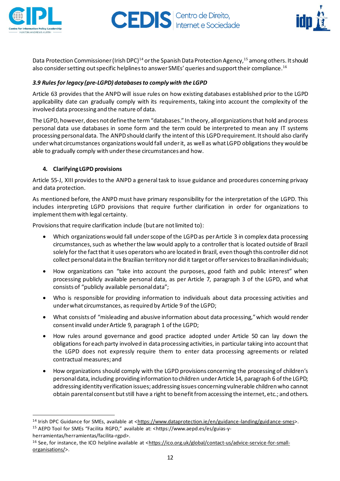



Data Protection Commissioner (Irish DPC)<sup>14</sup> or the Spanish Data Protection Agency,<sup>15</sup> among others. It should also consider setting out specific helplines to answer SMEs' queries and support their compliance.<sup>16</sup>

# *3.9 Rules for legacy (pre-LGPD) databasesto complywith the LGPD*

Article 63 provides that the ANPD will issue rules on how existing databases established prior to the LGPD applicability date can gradually comply with its requirements, taking into account the complexity of the involved data processing and the nature of data.

The LGPD, however, does not definethe term"databases." In theory, allorganizationsthat hold and process personal data use databases in some form and the term could be interpreted to mean any IT systems processing personal data. The ANPD should clarify the intent of this LGPD requirement. It should also clarify underwhat circumstances organizations would fall underit, as well as what LGPD obligations they would be able to gradually comply with underthese circumstances and how.

# <span id="page-11-0"></span>**4. Clarifying LGPD provisions**

Article 55-J, XIII provides to the ANPD a general task to issue guidance and procedures concerning privacy and data protection.

As mentioned before, the ANPD must have primary responsibility for the interpretation of the LGPD. This includes interpreting LGPD provisions that require further clarification in order for organizations to implement them with legal certainty.

Provisions that require clarification include (but are not limited to):

- Which organizations would fall under scope of the LGPD as per Article 3 in complex data processing circumstances, such as whether the law would apply to a controller that is located outside of Brazil solely for the fact that it uses operators who are located in Brazil, even though this controller did not collect personaldatain the Brazilian territory nordid it target orofferservicesto Brazilianindividuals;
- How organizations can "take into account the purposes, good faith and public interest" when processing publicly available personal data, as per Article 7, paragraph 3 of the LGPD, and what consists of "publicly available personaldata";
- Who is responsible for providing information to individuals about data processing activities and underwhat circumstances, as required by Article 9 of the LGPD;
- What consists of "misleading and abusive information about data processing,"which would render consentinvalid underArticle 9, paragraph 1 ofthe LGPD;
- How rules around governance and good practice adopted under Article 50 can lay down the obligations foreach party involved in dataprocessing activities, in particular taking into accountthat the LGPD does not expressly require them to enter data processing agreements or related contractual measures; and
- How organizations should comply with the LGPD provisions concerning the processing of children's personaldata, including providing information to children underArticle 14, paragraph 6 ofthe LGPD; addressing identity verification issues; addressing issues concerning vulnerable childrenwho cannot obtain parental consent but still have a right to benefit from accessing the internet, etc.; and others.

<sup>&</sup>lt;sup>14</sup> Irish DPC Guidance for SMEs, available at [<https://www.dataprotection.ie/en/guidance-landing/guidance-smes>](https://www.dataprotection.ie/en/guidance-landing/guidance-smes). <sup>15</sup> AEPD Tool for SMEs "Facilita RGPD," available at: <https://www.aepd.es/es/guias-y-

herramientas/herramientas/facilita-rgpd>.

<sup>&</sup>lt;sup>16</sup> See, for instance, the ICO helpline available at [<https://ico.org.uk/global/contact-us/advice-service-for-small](https://ico.org.uk/global/contact-us/advice-service-for-small-organisations/)[organisations/>](https://ico.org.uk/global/contact-us/advice-service-for-small-organisations/).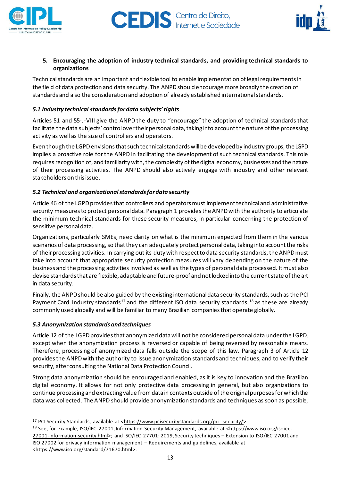



#### <span id="page-12-0"></span>**5. Encouraging the adoption of industry technical standards, and providing technical standards to organizations**

Technical standards are an important and flexible tool to enable implementation of legal requirements in the field of data protection and data security. The ANPDshould encourage more broadly the creation of standards and also the consideration and adoption of already established internationalstandards.

# *5.1 Industry technical standardsfordata subjects'rights*

Articles 51 and 55-J-VIII give the ANPD the duty to "encourage" the adoption of technical standards that facilitate the data subjects' control over their personal data, taking into account the nature of the processing activity as well as the size of controllers and operators.

Even though the LGPD envisions that such technical standards will be developed by industry groups, the LGPD implies a proactive role for the ANPD in facilitating the development of such technical standards. This role requires recognition of, and familiarity with, the complexity of the digital economy, businesses and the nature of their processing activities. The ANPD should also actively engage with industry and other relevant stakeholders on this issue.

# *5.2 Technical and organizationalstandardsfordata security*

Article 46 of the LGPD provides that controllers and operators must implement technical and administrative security measures to protect personal data. Paragraph 1 provides the ANPD with the authority to articulate the minimum technical standards for these security measures, in particular concerning the protection of sensitive personal data.

Organizations, particularly SMEs, need clarity on what is the minimum expected from them in the various scenarios of data processing, so that they can adequately protect personal data, taking into account the risks of their processing activities. In carrying out its duty with respect to data security standards, the ANPD must take into account that appropriate security protection measures will vary depending on the nature of the business and the processing activities involved as well as the types of personal data processed. Itmust also devise standardsthat are flexible, adaptable and future-proof and notlocked into the currentstate ofthe art in data security.

Finally, the ANPD should be also guided by the existing international data security standards, such as the PCI Payment Card Industry standards<sup>17</sup> and the different ISO data security standards, <sup>18</sup> as these are already commonly used globally and will be familiar to many Brazilian companiesthat operate globally.

#### *5.3 Anonymization standards and techniques*

Article 12 of the LGPD provides that anonymized data will not be considered personal data under the LGPD, except when the anonymization process is reversed or capable of being reversed by reasonable means. Therefore, processing of anonymized data falls outside the scope of this law. Paragraph 3 of Article 12 providesthe ANPDwith the authority to issue anonymization standards and techniques, and to verify their security, after consulting the National Data Protection Council.

Strong data anonymization should be encouraged and enabled, as it is key to innovation and the Brazilian digital economy. It allows for not only protective data processing in general, but also organizations to continue processing and extracting value from data in contexts outside of the original purposes for which the data was collected. The ANPD should provide anonymization standards and techniques as soon as possible,

<sup>&</sup>lt;sup>17</sup> PCI Security Standards, available at [<https://www.pcisecuritystandards.org/pci\\_security/>](https://www.pcisecuritystandards.org/pci_security/).

<sup>&</sup>lt;sup>18</sup> See, for example, ISO/IEC 27001, Information Security Management, available at [<https://www.iso.org/isoiec-](https://www.iso.org/isoiec-27001-information-security.html)[27001-information-security.html>](https://www.iso.org/isoiec-27001-information-security.html); and ISO/IEC 27701: 2019, Security techniques – Extension to ISO/IEC 27001 and ISO 27002 for privacy information management – Requirements and guidelines, available at [<https://www.iso.org/standard/71670.html>](https://www.iso.org/standard/71670.html).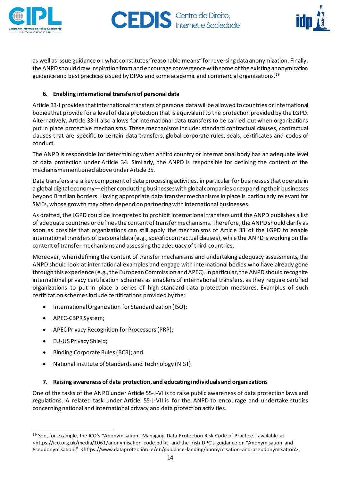



as well as issue guidance on what constitutes "reasonable means" forreversingdata anonymization. Finally, the ANPD should draw inspiration from and encourage convergence with some of the existing anonymization guidance and best practices issued by DPAs and some academic and commercial organizations.<sup>19</sup>

# <span id="page-13-0"></span>**6. Enabling international transfers of personal data**

Article 33-I provides that international transfers of personal data will be allowed to countries or international bodiesthat provide for a levelof data protection that is equivalentto the protection provided by the LGPD. Alternatively, Article 33-II also allows for international data transfers to be carried out when organizations put in place protective mechanisms. These mechanisms include: standard contractual clauses, contractual clauses that are specific to certain data transfers, global corporate rules, seals, certificates and codes of conduct.

The ANPD is responsible for determining when a third country or international body has an adequate level of data protection under Article 34. Similarly, the ANPD is responsible for defining the content of the mechanisms mentioned above under Article 35.

Data transfers are a key componentof data processing activities, in particular for businessesthat operate in a global digital economy—either conducting businesses with global companies or expanding their businesses beyond Brazilian borders. Having appropriate data transfer mechanisms in place is particularly relevant for SMEs, whose growth may often depend on partnering with international businesses.

As drafted,the LGPD could be interpreted to prohibit international transfers until the ANPD publishes a list of adequate countries or defines the content of transfer mechanisms. Therefore, the ANPD should clarify as soon as possible that organizations can still apply the mechanisms of Article 33 of the LGPD to enable international transfers of personal data (e.g., specific contractual clauses), while the ANPD is working on the content of transfer mechanisms and assessing the adequacy of third countries.

Moreover, when defining the content of transfer mechanisms and undertaking adequacy assessments, the ANPD should look at international examples and engage with international bodies who have already gone through this experience (e.g., the European Commission and APEC). In particular, the ANPD should recognize international privacy certification schemes as enablers of international transfers, as they require certified organizations to put in place a series of high-standard data protection measures. Examples of such certification schemesinclude certifications provided by the:

- International Organization for Standardization (ISO);
- APEC-CBPRSystem;
- APEC Privacy Recognition for Processors (PRP);
- EU-US Privacy Shield;
- Binding Corporate Rules(BCR); and
- National Institute of Standards and Technology (NIST).

# <span id="page-13-1"></span>**7. Raising awareness of data protection, and educating individuals and organizations**

One of the tasks of the ANPD under Article 55-J-VI is to raise public awareness of data protection laws and regulations. A related task under Article 55-J-VII is for the ANPD to encourage and undertake studies concerning national and international privacy and data protection activities.

<sup>19</sup> See, for example, the ICO's "Anonymisation: Managing Data Protection Risk Code of Practice," available at <https://ico.org.uk/media/1061/anonymisation-code.pdf>; and the Irish DPC's guidance on "Anonymisation and Pseudonymisation," [<https://www.dataprotection.ie/en/guidance-landing/anonymisation-and-pseudonymisation>](https://www.dataprotection.ie/en/guidance-landing/anonymisation-and-pseudonymisation).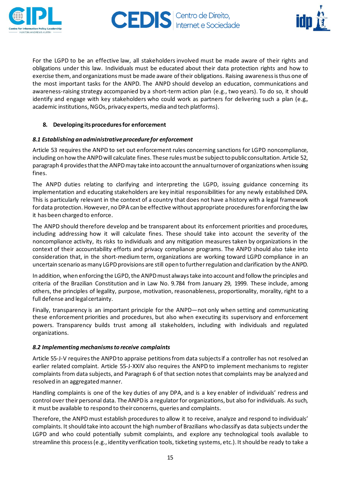



For the LGPD to be an effective law, all stakeholders involved must be made aware of their rights and obligations under this law. Individuals must be educated about their data protection rights and how to exercise them, and organizations must be made aware of their obligations. Raising awareness is thus one of the most important tasks for the ANPD. The ANPD should develop an education, communications and awareness-raising strategy accompanied by a short-term action plan (e.g., two years). To do so, it should identify and engage with key stakeholders who could work as partners for delivering such a plan (e.g., academic institutions, NGOs, privacy experts, media and tech platforms).

# <span id="page-14-0"></span>**8. Developing its procedures for enforcement**

# *8.1 Establishing an administrativeprocedurefor enforcement*

Article 53 requires the ANPD to set out enforcement rules concerning sanctions for LGPD noncompliance, including on how the ANPD will calculate fines. These rules must be subject to public consultation. Article 52, paragraph 4 provides that the ANPD may take into account the annual turnover of organizations when issuing fines.

The ANPD duties relating to clarifying and interpreting the LGPD, issuing guidance concerning its implementation and educating stakeholders are key initial responsibilities for any newly established DPA. This is particularly relevant in the context of a country that does not have a history with a legal framework for data protection. However, no DPA can be effective without appropriate procedures for enforcing the law it has been charged to enforce.

The ANPD should therefore develop and be transparent about its enforcement priorities and procedures, including addressing how it will calculate fines. These should take into account the severity of the noncompliance activity, its risks to individuals and any mitigation measures taken by organizations in the context of their accountability efforts and privacy compliance programs. The ANPD should also take into consideration that, in the short-medium term, organizations are working toward LGPD compliance in an uncertain scenario as many LGPD provisions are still open to further regulation and clarification by the ANPD.

In addition, when enforcing the LGPD, the ANPD must always take into account and follow the principles and criteria of the Brazilian Constitution and in Law No. 9.784 from January 29, 1999. These include, among others, the principles of legality, purpose, motivation, reasonableness, proportionality, morality, right to a full defense and legal certainty.

Finally, transparency is an important principle for the ANPD—not only when setting and communicating these enforcement priorities and procedures, but also when executing its supervisory and enforcement powers. Transparency builds trust among all stakeholders, including with individuals and regulated organizations.

#### *8.2 Implementing mechanismsto receive complaints*

Article 55-J-V requires the ANPD to appraise petitions from data subjects if a controller has not resolved an earlier related complaint. Article 55-J-XXIV also requires the ANPD to implement mechanisms to register complaints from data subjects, and Paragraph 6 of that section notes that complaints may be analyzed and resolved in an aggregated manner.

Handling complaints is one of the key duties of any DPA, and is a key enabler of individuals' redress and control over their personal data. The ANPD is a regulator for organizations, but also for individuals. As such, it must be available to respond to their concerns, queries and complaints.

Therefore, the ANPD must establish procedures to allow it to receive, analyze and respond to individuals' complaints. It should take into account the high numberof Brazilians who classify as data subjects underthe LGPD and who could potentially submit complaints, and explore any technological tools available to streamline this process(e.g., identity verification tools, ticketing systems, etc.). It should be ready to take a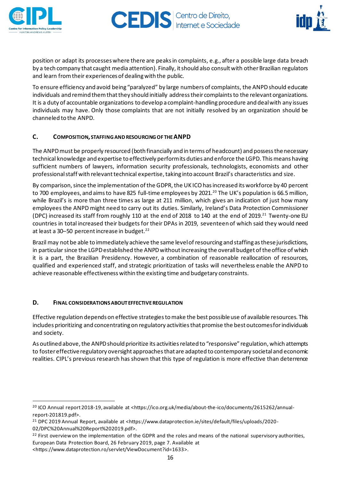



position or adapt its processeswhere there are peaksin complaints, e.g., after a possible large data breach by a tech company that caught media attention). Finally, itshould also consultwith otherBrazilian regulators and learn from their experiences of dealing with the public.

To ensure efficiency and avoid being "paralyzed" by large numbers of complaints, the ANPDshould educate individuals and remind them that they should initially address their complaints to the relevant organizations. It is a duty of accountable organizations to develop a complaint-handling procedure and dealwith any issues individuals may have. Only those complaints that are not initially resolved by an organization should be channeled to the ANPD.

# <span id="page-15-0"></span>**C. COMPOSITION, STAFFINGANDRESOURCINGOF THEANPD**

The ANPDmust be properly resourced (both financially and in terms of headcount) and possessthenecessary technical knowledge and expertise to effectively performits duties and enforce the LGPD. This means having sufficient numbers of lawyers, information security professionals, technologists, economists and other professional staff with relevant technical expertise, taking into account Brazil's characteristics and size.

By comparison, since the implementation of the GDPR, the UK ICO has increased its workforce by 40 percent to 700 employees, and aims to have 825 full-time employees by 2021.<sup>20</sup> The UK's population is 66.5 million, while Brazil's is more than three times as large at 211 million, which gives an indication of just how many employees the ANPD might need to carry out its duties. Similarly, Ireland's Data Protection Commissioner (DPC) increased its staff from roughly 110 at the end of 2018 to 140 at the end of 2019.<sup>21</sup> Twenty-one EU countries in total increased their budgets for their DPAs in 2019, seventeen of which said they would need at least a 30–50 percent increase in budget.<sup>22</sup>

Brazil may not be able to immediately achieve the same level of resourcing and staffing as these jurisdictions, in particular since the LGPD established the ANPD without increasing the overall budget of the office of which it is a part, the Brazilian Presidency. However, a combination of reasonable reallocation of resources, qualified and experienced staff, and strategic prioritization of tasks will nevertheless enable the ANPD to achieve reasonable effectivenesswithin the existing time and budgetary constraints.

#### <span id="page-15-1"></span>**D. FINAL CONSIDERATIONSABOUT EFFECTIVEREGULATION**

Effective regulation depends on effective strategies to make the best possible use of available resources. This includes prioritizing and concentrating on regulatory activities that promise the best outcomesfor individuals and society.

As outlined above, the ANPD should prioritize its activities related to "responsive" regulation, which attempts to foster effective regulatory oversight approaches that are adapted to contemporary societal and economic realities. CIPL's previous research has shown that this type of regulation is more effective than deterrence

<sup>&</sup>lt;sup>20</sup> ICO Annual report 2018-19, available at <https://ico.org.uk/media/about-the-ico/documents/2615262/annualreport-201819.pdf>.

<sup>&</sup>lt;sup>21</sup> DPC 2019 Annual Report, available at <https://www.dataprotection.ie/sites/default/files/uploads/2020-

<sup>02/</sup>DPC%20Annual%20Report%202019.pdf>.

 $22$  First overview on the implementation of the GDPR and the roles and means of the national supervisory authorities, European Data Protection Board, 26 February 2019, page 7. Available at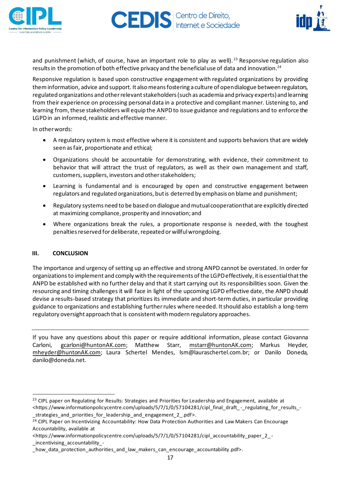



and punishment (which, of course, have an important role to play as well).<sup>23</sup> Responsive regulation also results in the promotion of both effective privacy and the beneficial use of data and innovation.<sup>24</sup>

Responsive regulation is based upon constructive engagement with regulated organizations by providing them information, advice and support. It also means fostering a culture of opendialogue between regulators, regulated organizations and other relevant stakeholders (such as academia and privacy experts) and learning from their experience on processing personal data in a protective and compliant manner. Listening to, and learning from, these stakeholders will equip the ANPD to issue guidance and regulations and to enforce the LGPD in an informed, realistic and effective manner.

In otherwords:

- A regulatory system is most effective where it is consistent and supports behaviors that are widely seen asfair, proportionate and ethical;
- Organizations should be accountable for demonstrating, with evidence, their commitment to behavior that will attract the trust of regulators, as well as their own management and staff, customers, suppliers, investors and other stakeholders;
- Learning is fundamental and is encouraged by open and constructive engagement between regulators and regulated organizations, butis deterred by emphasis on blame and punishment;
- Regulatory systems need to be based on dialogue and mutual cooperation that are explicitly directed at maximizing compliance, prosperity and innovation; and
- Where organizations break the rules, a proportionate response is needed, with the toughest penalties reserved for deliberate, repeated or willful wrongdoing.

# <span id="page-16-0"></span>**III. CONCLUSION**

The importance and urgency of setting up an effective and strong ANPD cannot be overstated. In order for organizationsto implement and comply with the requirements ofthe LGPDeffectively, itis essentialthatthe ANPD be established with no further delay and that it start carrying out its responsibilities soon. Given the resourcing and timing challenges it will face in light of the upcoming LGPD effective date, the ANPD should devise a results-based strategy that prioritizes its immediate and short-term duties, in particular providing guidance to organizations and establishing furtherrules where needed. Itshould also establish a long-term regulatory oversight approach that is consistent with modern regulatory approaches.

If you have any questions about this paper or require additional information, please contact Giovanna Carloni, [gcarloni@huntonAK.com](mailto:gcarloni@huntonAK.com); Matthew Starr, [mstarr@huntonAK.com](mailto:mstarr@huntonAK.com); Markus Heyder, [mheyder@huntonAK.com](mailto:mheyder@huntonAK.com); Laura Schertel Mendes, lsm@lauraschertel.com.br; or Danilo Doneda, danilo@doneda.net.

<sup>&</sup>lt;sup>23</sup> CIPL paper on Regulating for Results: Strategies and Priorities for Leadership and Engagement, available at <https://www.informationpolicycentre.com/uploads/5/7/1/0/57104281/cipl\_final\_draft\_ -\_regulating\_for\_results\_- \_strategies\_and\_priorities\_for\_leadership\_and\_engagement\_2\_.pdf>.

<sup>&</sup>lt;sup>24</sup> CIPL Paper on Incentivizing Accountability: How Data Protection Authorities and Law Makers Can Encourage Accountability, available at

<sup>&</sup>lt;https://www.informationpolicycentre.com/uploads/5/7/1/0/57104281/cipl\_accountability\_paper\_2\_-\_incentivising\_accountability\_-

\_how\_data\_protection\_authorities\_and\_law\_makers\_can\_encourage\_accountability.pdf>.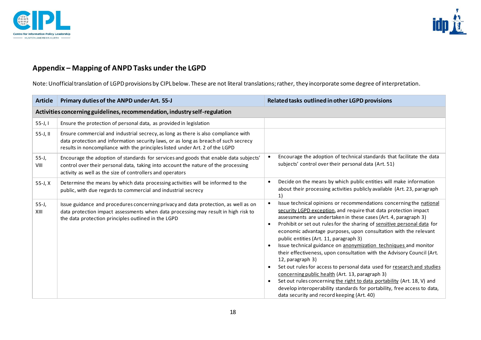



# **Appendix – Mapping of ANPD Tasks under the LGPD**

Note: Unofficial translation of LGPD provisions by CIPL below. These are not literal translations; rather, they incorporate some degree of interpretation.

<span id="page-17-0"></span>

| <b>Article</b>                                                             | Primary duties of the ANPD under Art. 55-J                                                                                                                                                                                                                | Related tasks outlined in other LGPD provisions                                                                                                                                                                                                                                                                                                                                                                                                                                                                                                                                                                                                                                                                                                                                                                                                                                                                                                  |  |  |  |
|----------------------------------------------------------------------------|-----------------------------------------------------------------------------------------------------------------------------------------------------------------------------------------------------------------------------------------------------------|--------------------------------------------------------------------------------------------------------------------------------------------------------------------------------------------------------------------------------------------------------------------------------------------------------------------------------------------------------------------------------------------------------------------------------------------------------------------------------------------------------------------------------------------------------------------------------------------------------------------------------------------------------------------------------------------------------------------------------------------------------------------------------------------------------------------------------------------------------------------------------------------------------------------------------------------------|--|--|--|
| Activities concerning guidelines, recommendation, industry self-regulation |                                                                                                                                                                                                                                                           |                                                                                                                                                                                                                                                                                                                                                                                                                                                                                                                                                                                                                                                                                                                                                                                                                                                                                                                                                  |  |  |  |
| $55 - J, I$                                                                | Ensure the protection of personal data, as provided in legislation                                                                                                                                                                                        |                                                                                                                                                                                                                                                                                                                                                                                                                                                                                                                                                                                                                                                                                                                                                                                                                                                                                                                                                  |  |  |  |
| 55-J, II                                                                   | Ensure commercial and industrial secrecy, as long as there is also compliance with<br>data protection and information security laws, or as long as breach of such secrecy<br>results in noncompliance with the principles listed under Art. 2 of the LGPD |                                                                                                                                                                                                                                                                                                                                                                                                                                                                                                                                                                                                                                                                                                                                                                                                                                                                                                                                                  |  |  |  |
| $55 - J,$<br>VIII                                                          | Encourage the adoption of standards for services and goods that enable data subjects'<br>control over their personal data, taking into account the nature of the processing<br>activity as well as the size of controllers and operators                  | Encourage the adoption of technical standards that facilitate the data<br>subjects' control over their personal data (Art. 51)                                                                                                                                                                                                                                                                                                                                                                                                                                                                                                                                                                                                                                                                                                                                                                                                                   |  |  |  |
| 55-J, X                                                                    | Determine the means by which data processing activities will be informed to the<br>public, with due regards to commercial and industrial secrecy                                                                                                          | Decide on the means by which public entities will make information<br>about their processing activities publicly available (Art. 23, paragraph<br>1)                                                                                                                                                                                                                                                                                                                                                                                                                                                                                                                                                                                                                                                                                                                                                                                             |  |  |  |
| $55 - J,$<br>XIII                                                          | Issue guidance and procedures concerning privacy and data protection, as well as on<br>data protection impact assessments when data processing may result in high risk to<br>the data protection principles outlined in the LGPD                          | Issue technical opinions or recommendations concerning the national<br>security LGPD exception, and require that data protection impact<br>assessments are undertaken in these cases (Art. 4, paragraph 3)<br>Prohibit or set out rules for the sharing of sensitive personal data for<br>$\bullet$<br>economic advantage purposes, upon consultation with the relevant<br>public entities (Art. 11, paragraph 3)<br>Issue technical guidance on anonymization techniques and monitor<br>their effectiveness, upon consultation with the Advisory Council (Art.<br>12, paragraph 3)<br>Set out rules for access to personal data used for research and studies<br>$\bullet$<br>concerning public health (Art. 13, paragraph 3)<br>Set out rules concerning the right to data portability (Art. 18, V) and<br>$\bullet$<br>develop interoperability standards for portability, free access to data,<br>data security and record keeping (Art. 40) |  |  |  |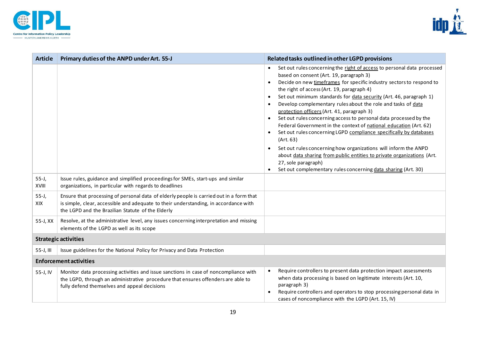



| <b>Article</b>                | Primary duties of the ANPD under Art. 55-J                                                                                                                                                                                           | Related tasks outlined in other LGPD provisions                                                                                                                                                                                                                                                                                                                                                                                                                                                                                                                                                                                                                                                                                                                                                                                                                                                                                                                 |  |  |
|-------------------------------|--------------------------------------------------------------------------------------------------------------------------------------------------------------------------------------------------------------------------------------|-----------------------------------------------------------------------------------------------------------------------------------------------------------------------------------------------------------------------------------------------------------------------------------------------------------------------------------------------------------------------------------------------------------------------------------------------------------------------------------------------------------------------------------------------------------------------------------------------------------------------------------------------------------------------------------------------------------------------------------------------------------------------------------------------------------------------------------------------------------------------------------------------------------------------------------------------------------------|--|--|
|                               |                                                                                                                                                                                                                                      | Set out rules concerning the right of access to personal data processed<br>$\bullet$<br>based on consent (Art. 19, paragraph 3)<br>Decide on new timeframes for specific industry sectors to respond to<br>$\bullet$<br>the right of access (Art. 19, paragraph 4)<br>Set out minimum standards for data security (Art. 46, paragraph 1)<br>$\bullet$<br>Develop complementary rules about the role and tasks of data<br>protection officers (Art. 41, paragraph 3)<br>Set out rules concerning access to personal data processed by the<br>Federal Government in the context of national education (Art. 62)<br>Set out rules concerning LGPD compliance specifically by databases<br>(Art. 63)<br>Set out rules concerning how organizations will inform the ANPD<br>$\bullet$<br>about data sharing from public entities to private organizations (Art.<br>27, sole paragraph)<br>Set out complementary rules concerning data sharing (Art. 30)<br>$\bullet$ |  |  |
| $55 - J,$<br><b>XVIII</b>     | Issue rules, guidance and simplified proceedings for SMEs, start-ups and similar<br>organizations, in particular with regards to deadlines                                                                                           |                                                                                                                                                                                                                                                                                                                                                                                                                                                                                                                                                                                                                                                                                                                                                                                                                                                                                                                                                                 |  |  |
| $55 - J,$<br>XIX              | Ensure that processing of personal data of elderly people is carried out in a form that<br>is simple, clear, accessible and adequate to their understanding, in accordance with<br>the LGPD and the Brazilian Statute of the Elderly |                                                                                                                                                                                                                                                                                                                                                                                                                                                                                                                                                                                                                                                                                                                                                                                                                                                                                                                                                                 |  |  |
| 55-J, XX                      | Resolve, at the administrative level, any issues concerning interpretation and missing<br>elements of the LGPD as well as its scope                                                                                                  |                                                                                                                                                                                                                                                                                                                                                                                                                                                                                                                                                                                                                                                                                                                                                                                                                                                                                                                                                                 |  |  |
| <b>Strategic activities</b>   |                                                                                                                                                                                                                                      |                                                                                                                                                                                                                                                                                                                                                                                                                                                                                                                                                                                                                                                                                                                                                                                                                                                                                                                                                                 |  |  |
| 55-J, III                     | Issue guidelines for the National Policy for Privacy and Data Protection                                                                                                                                                             |                                                                                                                                                                                                                                                                                                                                                                                                                                                                                                                                                                                                                                                                                                                                                                                                                                                                                                                                                                 |  |  |
| <b>Enforcement activities</b> |                                                                                                                                                                                                                                      |                                                                                                                                                                                                                                                                                                                                                                                                                                                                                                                                                                                                                                                                                                                                                                                                                                                                                                                                                                 |  |  |
| 55-J, IV                      | Monitor data processing activities and issue sanctions in case of noncompliance with<br>the LGPD, through an administrative procedure that ensures offenders are able to<br>fully defend themselves and appeal decisions             | Require controllers to present data protection impact assessments<br>$\bullet$<br>when data processing is based on legitimate interests (Art. 10,<br>paragraph 3)<br>Require controllers and operators to stop processing personal data in<br>$\bullet$<br>cases of noncompliance with the LGPD (Art. 15, IV)                                                                                                                                                                                                                                                                                                                                                                                                                                                                                                                                                                                                                                                   |  |  |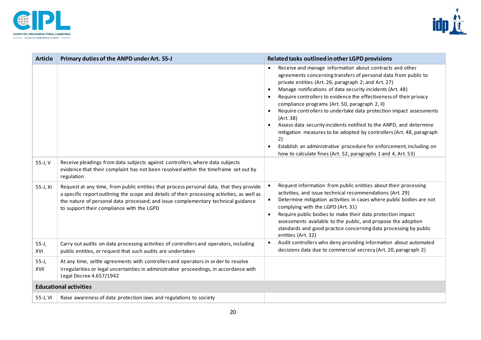



| <b>Article</b>                | Primary duties of the ANPD under Art. 55-J                                                                                                                                                                                                                                                                                | Related tasks outlined in other LGPD provisions                                                                                                                                                                                                                                                                                                                                                                                                                                                                                                                                                                                                                                                                                                                                    |  |  |
|-------------------------------|---------------------------------------------------------------------------------------------------------------------------------------------------------------------------------------------------------------------------------------------------------------------------------------------------------------------------|------------------------------------------------------------------------------------------------------------------------------------------------------------------------------------------------------------------------------------------------------------------------------------------------------------------------------------------------------------------------------------------------------------------------------------------------------------------------------------------------------------------------------------------------------------------------------------------------------------------------------------------------------------------------------------------------------------------------------------------------------------------------------------|--|--|
|                               |                                                                                                                                                                                                                                                                                                                           | Receive and manage information about contracts and other<br>$\bullet$<br>agreements concerning transfers of personal data from public to<br>private entities (Art. 26, paragraph 2; and Art. 27)<br>Manage notifications of data security incidents (Art. 48)<br>Require controllers to evidence the effectiveness of their privacy<br>compliance programs (Art. 50, paragraph 2, II)<br>Require controllers to undertake data protection impact assessments<br>(Art. 38)<br>Assess data security incidents notified to the ANPD, and determine<br>mitigation measures to be adopted by controllers (Art. 48, paragraph<br>2)<br>Establish an administrative procedure for enforcement, including on<br>$\bullet$<br>how to calculate fines (Art. 52, paragraphs 1 and 4, Art. 53) |  |  |
| 55-J, V                       | Receive pleadings from data subjects against controllers, where data subjects<br>evidence that their complaint has not been resolved within the timeframe set out by<br>regulation                                                                                                                                        |                                                                                                                                                                                                                                                                                                                                                                                                                                                                                                                                                                                                                                                                                                                                                                                    |  |  |
| 55-J, XI                      | Request at any time, from public entities that process personal data, that they provide<br>a specific report outlining the scope and details of their processing activities, as well as<br>the nature of personal data processed; and issue complementary technical guidance<br>to support their compliance with the LGPD | Request information from public entities about their processing<br>activities, and issue technical recommendations (Art. 29)<br>Determine mitigation activities in cases where public bodies are not<br>complying with the LGPD (Art. 31)<br>Require public bodies to make their data protection impact<br>$\bullet$<br>assessments available to the public, and propose the adoption<br>standards and good practice concerning data processing by public<br>entities (Art. 32)                                                                                                                                                                                                                                                                                                    |  |  |
| $55 - J,$<br>XVI              | Carry out audits on data processing activities of controllers and operators, including<br>public entities, or request that such audits are undertaken                                                                                                                                                                     | Audit controllers who deny providing information about automated<br>decisions data due to commercial secrecy (Art. 20, paragraph 2)                                                                                                                                                                                                                                                                                                                                                                                                                                                                                                                                                                                                                                                |  |  |
| $55 - J,$<br>XVII             | At any time, settle agreements with controllers and operators in order to resolve<br>irregularities or legal uncertainties in administrative proceedings, in accordance with<br>Legal Decree 4.657/1942                                                                                                                   |                                                                                                                                                                                                                                                                                                                                                                                                                                                                                                                                                                                                                                                                                                                                                                                    |  |  |
| <b>Educational activities</b> |                                                                                                                                                                                                                                                                                                                           |                                                                                                                                                                                                                                                                                                                                                                                                                                                                                                                                                                                                                                                                                                                                                                                    |  |  |
| 55-J, VI                      | Raise awareness of data protection laws and regulations to society                                                                                                                                                                                                                                                        |                                                                                                                                                                                                                                                                                                                                                                                                                                                                                                                                                                                                                                                                                                                                                                                    |  |  |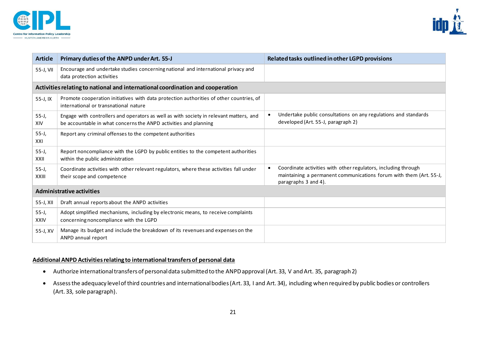



| <b>Article</b>                                                                 | Primary duties of the ANPD under Art. 55-J                                                                                                                 | Related tasks outlined in other LGPD provisions                                                                                                              |  |  |
|--------------------------------------------------------------------------------|------------------------------------------------------------------------------------------------------------------------------------------------------------|--------------------------------------------------------------------------------------------------------------------------------------------------------------|--|--|
| 55-J, VII                                                                      | Encourage and undertake studies concerning national and international privacy and<br>data protection activities                                            |                                                                                                                                                              |  |  |
| Activities relating to national and international coordination and cooperation |                                                                                                                                                            |                                                                                                                                                              |  |  |
| 55-J, IX                                                                       | Promote cooperation initiatives with data protection authorities of other countries, of<br>international or transnational nature                           |                                                                                                                                                              |  |  |
| $55 - J,$<br><b>XIV</b>                                                        | Engage with controllers and operators as well as with society in relevant matters, and<br>be accountable in what concerns the ANPD activities and planning | Undertake public consultations on any regulations and standards<br>developed (Art. 55-J, paragraph 2)                                                        |  |  |
| $55 - J,$<br>XXI                                                               | Report any criminal offenses to the competent authorities                                                                                                  |                                                                                                                                                              |  |  |
| $55 - J,$<br>XXII                                                              | Report noncompliance with the LGPD by public entities to the competent authorities<br>within the public administration                                     |                                                                                                                                                              |  |  |
| $55 - J,$<br><b>XXIII</b>                                                      | Coordinate activities with other relevant regulators, where these activities fall under<br>their scope and competence                                      | Coordinate activities with other regulators, including through<br>maintaining a permanent communications forum with them (Art. 55-J,<br>paragraphs 3 and 4). |  |  |
| <b>Administrative activities</b>                                               |                                                                                                                                                            |                                                                                                                                                              |  |  |
| 55-J, XII                                                                      | Draft annual reports about the ANPD activities                                                                                                             |                                                                                                                                                              |  |  |
| $55 - J,$<br><b>XXIV</b>                                                       | Adopt simplified mechanisms, including by electronic means, to receive complaints<br>concerning noncompliance with the LGPD                                |                                                                                                                                                              |  |  |
| 55-J, XV                                                                       | Manage its budget and include the breakdown of its revenues and expenses on the<br>ANPD annual report                                                      |                                                                                                                                                              |  |  |

#### **Additional ANPD Activities relating to international transfers of personal data**

- Authorize international transfers of personal data submitted to the ANPD approval (Art. 33, V and Art. 35, paragraph 2)
- Assess the adequacy level of third countries and international bodies (Art. 33, I and Art. 34), including when required by public bodies or controllers (Art. 33, sole paragraph).